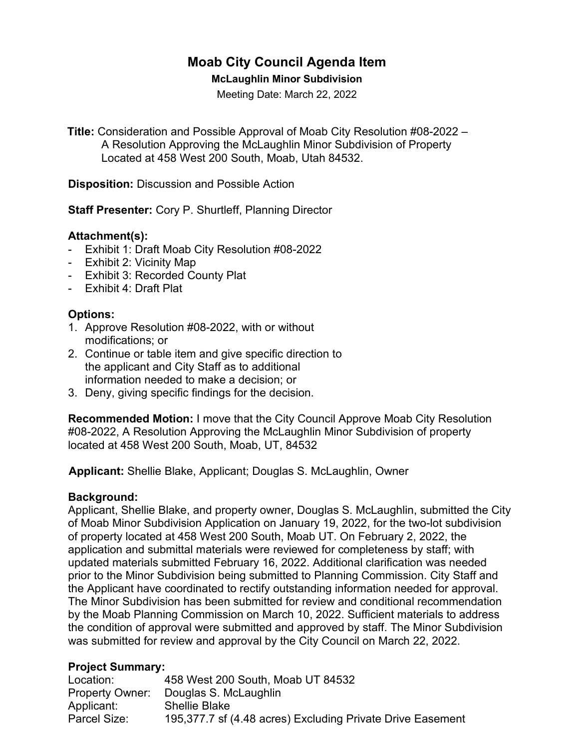# **Moab City Council Agenda Item**

#### **McLaughlin Minor Subdivision**

Meeting Date: March 22, 2022

**Title:** Consideration and Possible Approval of Moab City Resolution #08-2022 – A Resolution Approving the McLaughlin Minor Subdivision of Property Located at 458 West 200 South, Moab, Utah 84532.

**Disposition:** Discussion and Possible Action

**Staff Presenter:** Cory P. Shurtleff, Planning Director

#### **Attachment(s):**

- Exhibit 1: Draft Moab City Resolution #08-2022
- Exhibit 2: Vicinity Map
- Exhibit 3: Recorded County Plat
- Exhibit 4: Draft Plat

# **Options:**

- 1. Approve Resolution #08-2022, with or without modifications; or
- 2. Continue or table item and give specific direction to the applicant and City Staff as to additional information needed to make a decision; or
- 3. Deny, giving specific findings for the decision.

**Recommended Motion:** I move that the City Council Approve Moab City Resolution #08-2022, A Resolution Approving the McLaughlin Minor Subdivision of property located at 458 West 200 South, Moab, UT, 84532

 **Applicant:** Shellie Blake, Applicant; Douglas S. McLaughlin, Owner

#### **Background:**

Applicant, Shellie Blake, and property owner, Douglas S. McLaughlin, submitted the City of Moab Minor Subdivision Application on January 19, 2022, for the two-lot subdivision of property located at 458 West 200 South, Moab UT. On February 2, 2022, the application and submittal materials were reviewed for completeness by staff; with updated materials submitted February 16, 2022. Additional clarification was needed prior to the Minor Subdivision being submitted to Planning Commission. City Staff and the Applicant have coordinated to rectify outstanding information needed for approval. The Minor Subdivision has been submitted for review and conditional recommendation by the Moab Planning Commission on March 10, 2022. Sufficient materials to address the condition of approval were submitted and approved by staff. The Minor Subdivision was submitted for review and approval by the City Council on March 22, 2022.

# **Project Summary:**

| Location:    | 458 West 200 South, Moab UT 84532                          |
|--------------|------------------------------------------------------------|
|              | Property Owner: Douglas S. McLaughlin                      |
| Applicant:   | <b>Shellie Blake</b>                                       |
| Parcel Size: | 195,377.7 sf (4.48 acres) Excluding Private Drive Easement |